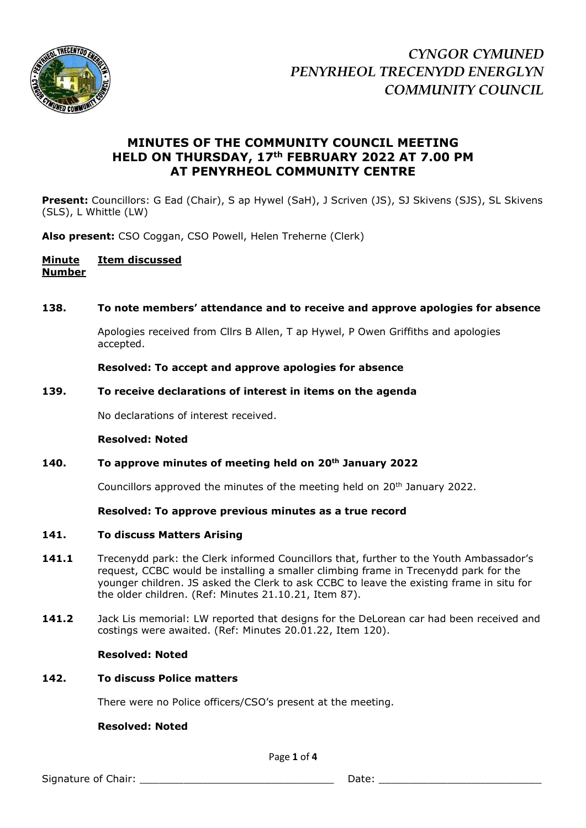

# **MINUTES OF THE COMMUNITY COUNCIL MEETING HELD ON THURSDAY, 17th FEBRUARY 2022 AT 7.00 PM AT PENYRHEOL COMMUNITY CENTRE**

**Present:** Councillors: G Ead (Chair), S ap Hywel (SaH), J Scriven (JS), SJ Skivens (SJS), SL Skivens (SLS), L Whittle (LW)

**Also present:** CSO Coggan, CSO Powell, Helen Treherne (Clerk)

# **Minute Item discussed Number**

# **138. To note members' attendance and to receive and approve apologies for absence**

Apologies received from Cllrs B Allen, T ap Hywel, P Owen Griffiths and apologies accepted.

### **Resolved: To accept and approve apologies for absence**

### **139. To receive declarations of interest in items on the agenda**

No declarations of interest received.

### **Resolved: Noted**

# **140. To approve minutes of meeting held on 20th January 2022**

Councillors approved the minutes of the meeting held on 20<sup>th</sup> January 2022.

### **Resolved: To approve previous minutes as a true record**

### **141. To discuss Matters Arising**

- 141.1 Trecenydd park: the Clerk informed Councillors that, further to the Youth Ambassador's request, CCBC would be installing a smaller climbing frame in Trecenydd park for the younger children. JS asked the Clerk to ask CCBC to leave the existing frame in situ for the older children. (Ref: Minutes 21.10.21, Item 87).
- **141.2** Jack Lis memorial: LW reported that designs for the DeLorean car had been received and costings were awaited. (Ref: Minutes 20.01.22, Item 120).

### **Resolved: Noted**

# **142. To discuss Police matters**

There were no Police officers/CSO's present at the meeting.

### **Resolved: Noted**

Page **1** of **4**

Signature of Chair: \_\_\_\_\_\_\_\_\_\_\_\_\_\_\_\_\_\_\_\_\_\_\_\_\_\_\_\_\_\_\_ Date: \_\_\_\_\_\_\_\_\_\_\_\_\_\_\_\_\_\_\_\_\_\_\_\_\_\_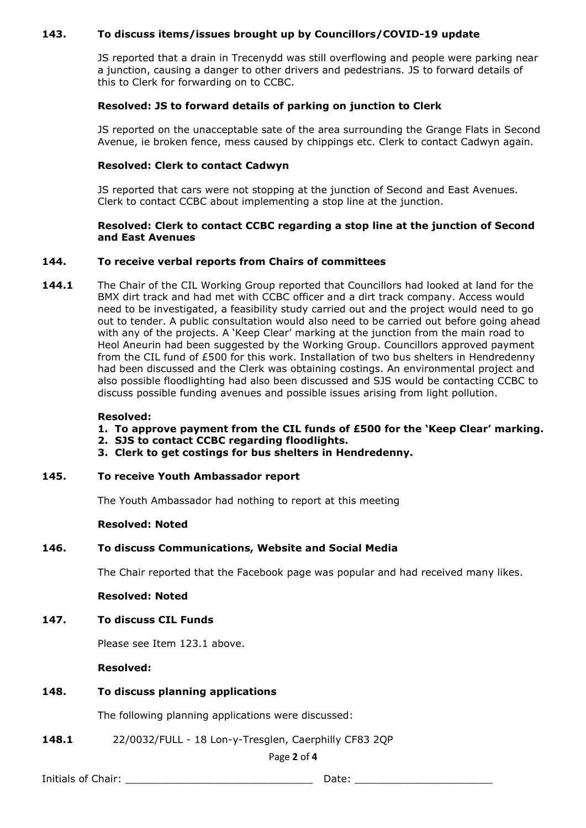# **143. To discuss items/issues brought up by Councillors/COVID-19 update**

JS reported that a drain in Trecenydd was still overflowing and people were parking near a junction, causing a danger to other drivers and pedestrians. JS to forward details of this to Clerk for forwarding on to CCBC.

# **Resolved: JS to forward details of parking on junction to Clerk**

JS reported on the unacceptable sate of the area surrounding the Grange Flats in Second Avenue, ie broken fence, mess caused by chippings etc. Clerk to contact Cadwyn again.

# **Resolved: Clerk to contact Cadwyn**

JS reported that cars were not stopping at the junction of Second and East Avenues. Clerk to contact CCBC about implementing a stop line at the junction.

### **Resolved: Clerk to contact CCBC regarding a stop line at the junction of Second and East Avenues**

# **144. To receive verbal reports from Chairs of committees**

**144.1** The Chair of the CIL Working Group reported that Councillors had looked at land for the BMX dirt track and had met with CCBC officer and a dirt track company. Access would need to be investigated, a feasibility study carried out and the project would need to go out to tender. A public consultation would also need to be carried out before going ahead with any of the projects. A 'Keep Clear' marking at the junction from the main road to Heol Aneurin had been suggested by the Working Group. Councillors approved payment from the CIL fund of £500 for this work. Installation of two bus shelters in Hendredenny had been discussed and the Clerk was obtaining costings. An environmental project and also possible floodlighting had also been discussed and SJS would be contacting CCBC to discuss possible funding avenues and possible issues arising from light pollution.

#### **Resolved:**

- **1. To approve payment from the CIL funds of £500 for the 'Keep Clear' marking.**
- **2. SJS to contact CCBC regarding floodlights.**
- **3. Clerk to get costings for bus shelters in Hendredenny.**
- **145. To receive Youth Ambassador report**

The Youth Ambassador had nothing to report at this meeting

### **Resolved: Noted**

# **146. To discuss Communications, Website and Social Media**

The Chair reported that the Facebook page was popular and had received many likes.

**Resolved: Noted**

# **147. To discuss CIL Funds**

Please see Item 123.1 above.

**Resolved:** 

### **148. To discuss planning applications**

The following planning applications were discussed:

**148.1** 22/0032/FULL - 18 Lon-y-Tresglen, Caerphilly CF83 2QP

#### Page **2** of **4**

Initials of Chair: \_\_\_\_\_\_\_\_\_\_\_\_\_\_\_\_\_\_\_\_\_\_\_\_\_\_\_\_\_\_ Date: \_\_\_\_\_\_\_\_\_\_\_\_\_\_\_\_\_\_\_\_\_\_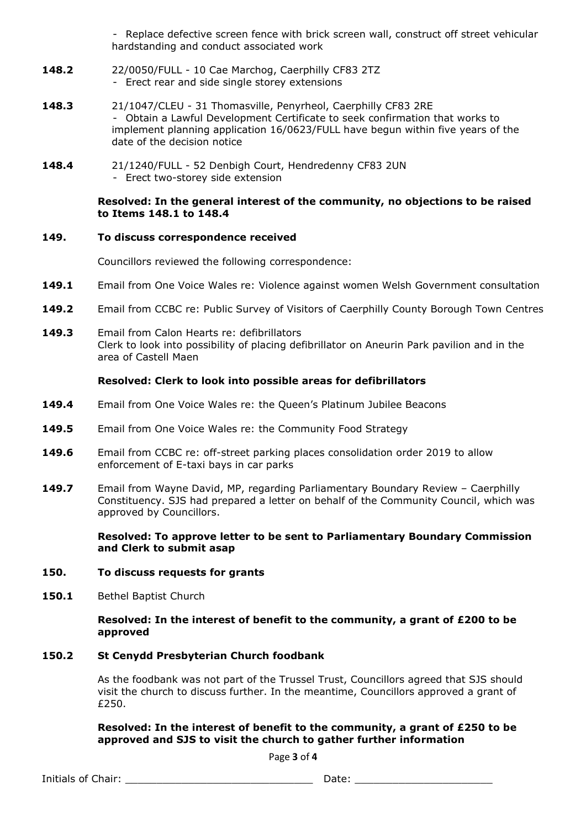- Replace defective screen fence with brick screen wall, construct off street vehicular hardstanding and conduct associated work

- **148.2** 22/0050/FULL 10 Cae Marchog, Caerphilly CF83 2TZ - Erect rear and side single storey extensions
- **148.3** 21/1047/CLEU 31 Thomasville, Penyrheol, Caerphilly CF83 2RE - Obtain a Lawful Development Certificate to seek confirmation that works to implement planning application 16/0623/FULL have begun within five years of the date of the decision notice
- **148.4** 21/1240/FULL 52 Denbigh Court, Hendredenny CF83 2UN - Erect two-storey side extension

### **Resolved: In the general interest of the community, no objections to be raised to Items 148.1 to 148.4**

# **149. To discuss correspondence received**

Councillors reviewed the following correspondence:

- **149.1** Email from One Voice Wales re: Violence against women Welsh Government consultation
- **149.2** Email from CCBC re: Public Survey of Visitors of Caerphilly County Borough Town Centres
- **149.3** Email from Calon Hearts re: defibrillators Clerk to look into possibility of placing defibrillator on Aneurin Park pavilion and in the area of Castell Maen

# **Resolved: Clerk to look into possible areas for defibrillators**

- **149.4** Email from One Voice Wales re: the Queen's Platinum Jubilee Beacons
- **149.5** Email from One Voice Wales re: the Community Food Strategy
- **149.6** Email from CCBC re: off-street parking places consolidation order 2019 to allow enforcement of E-taxi bays in car parks
- **149.7** Email from Wayne David, MP, regarding Parliamentary Boundary Review Caerphilly Constituency. SJS had prepared a letter on behalf of the Community Council, which was approved by Councillors.

**Resolved: To approve letter to be sent to Parliamentary Boundary Commission and Clerk to submit asap**

### **150. To discuss requests for grants**

150.1 Bethel Baptist Church

**Resolved: In the interest of benefit to the community, a grant of £200 to be approved**

# **150.2 St Cenydd Presbyterian Church foodbank**

As the foodbank was not part of the Trussel Trust, Councillors agreed that SJS should visit the church to discuss further. In the meantime, Councillors approved a grant of £250.

# **Resolved: In the interest of benefit to the community, a grant of £250 to be approved and SJS to visit the church to gather further information**

Page **3** of **4**